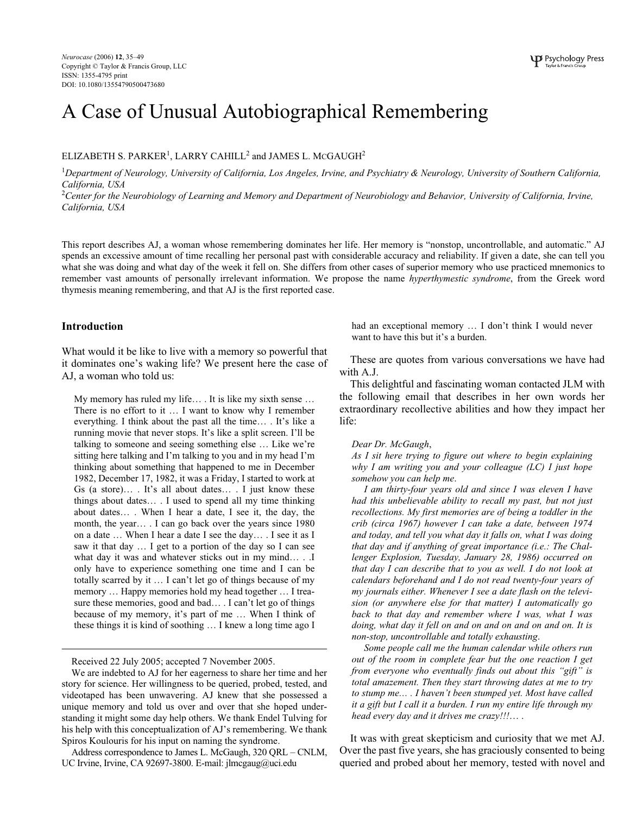# A Case of Unusual Autobiographical Remembering

# ELIZABETH S. PARKER $^1$ , LARRY CAHILL $^2$  and JAMES L. McGAUGH $^2$

1 *Department of Neurology, University of California, Los Angeles, Irvine, and Psychiatry & Neurology, University of Southern California, California, USA*

<sup>2</sup>Center for the Neurobiology of Learning and Memory and Department of Neurobiology and Behavior, University of California, Irvine, *California, USA*

This report describes AJ, a woman whose remembering dominates her life. Her memory is "nonstop, uncontrollable, and automatic." AJ spends an excessive amount of time recalling her personal past with considerable accuracy and reliability. If given a date, she can tell you what she was doing and what day of the week it fell on. She differs from other cases of superior memory who use practiced mnemonics to remember vast amounts of personally irrelevant information. We propose the name *hyperthymestic syndrome*, from the Greek word thymesis meaning remembering, and that AJ is the first reported case.

# **Introduction**

What would it be like to live with a memory so powerful that it dominates one's waking life? We present here the case of AJ, a woman who told us:

My memory has ruled my life… . It is like my sixth sense … There is no effort to it … I want to know why I remember everything. I think about the past all the time… . It's like a running movie that never stops. It's like a split screen. I'll be talking to someone and seeing something else … Like we're sitting here talking and I'm talking to you and in my head I'm thinking about something that happened to me in December 1982, December 17, 1982, it was a Friday, I started to work at Gs (a store)… . It's all about dates… . I just know these things about dates… . I used to spend all my time thinking about dates… . When I hear a date, I see it, the day, the month, the year… . I can go back over the years since 1980 on a date … When I hear a date I see the day… . I see it as I saw it that day … I get to a portion of the day so I can see what day it was and whatever sticks out in my mind.... I only have to experience something one time and I can be totally scarred by it … I can't let go of things because of my memory … Happy memories hold my head together … I treasure these memories, good and bad… . I can't let go of things because of my memory, it's part of me … When I think of these things it is kind of soothing … I knew a long time ago I

Received 22 July 2005; accepted 7 November 2005.

had an exceptional memory … I don't think I would never want to have this but it's a burden.

These are quotes from various conversations we have had with A.J.

This delightful and fascinating woman contacted JLM with the following email that describes in her own words her extraordinary recollective abilities and how they impact her life:

#### *Dear Dr. McGaugh*,

*As I sit here trying to figure out where to begin explaining why I am writing you and your colleague (LC) I just hope somehow you can help me*.

*I am thirty-four years old and since I was eleven I have had this unbelievable ability to recall my past, but not just recollections. My first memories are of being a toddler in the crib (circa 1967) however I can take a date, between 1974 and today, and tell you what day it falls on, what I was doing that day and if anything of great importance (i.e.: The Challenger Explosion, Tuesday, January 28, 1986) occurred on that day I can describe that to you as well. I do not look at calendars beforehand and I do not read twenty-four years of my journals either. Whenever I see a date flash on the television (or anywhere else for that matter) I automatically go back to that day and remember where I was, what I was doing, what day it fell on and on and on and on and on. It is non-stop, uncontrollable and totally exhausting*.

*Some people call me the human calendar while others run out of the room in complete fear but the one reaction I get from everyone who eventually finds out about this "gift" is total amazement. Then they start throwing dates at me to try to stump me… . I haven't been stumped yet. Most have called it a gift but I call it a burden. I run my entire life through my head every day and it drives me crazy!!!*… .

It was with great skepticism and curiosity that we met AJ. Over the past five years, she has graciously consented to being queried and probed about her memory, tested with novel and

We are indebted to AJ for her eagerness to share her time and her story for science. Her willingness to be queried, probed, tested, and videotaped has been unwavering. AJ knew that she possessed a unique memory and told us over and over that she hoped understanding it might some day help others. We thank Endel Tulving for his help with this conceptualization of AJ's remembering. We thank Spiros Koulouris for his input on naming the syndrome.

Address correspondence to James L. McGaugh, 320 QRL – CNLM, UC Irvine, Irvine, CA 92697-3800. E-mail: jlmcgaug@uci.edu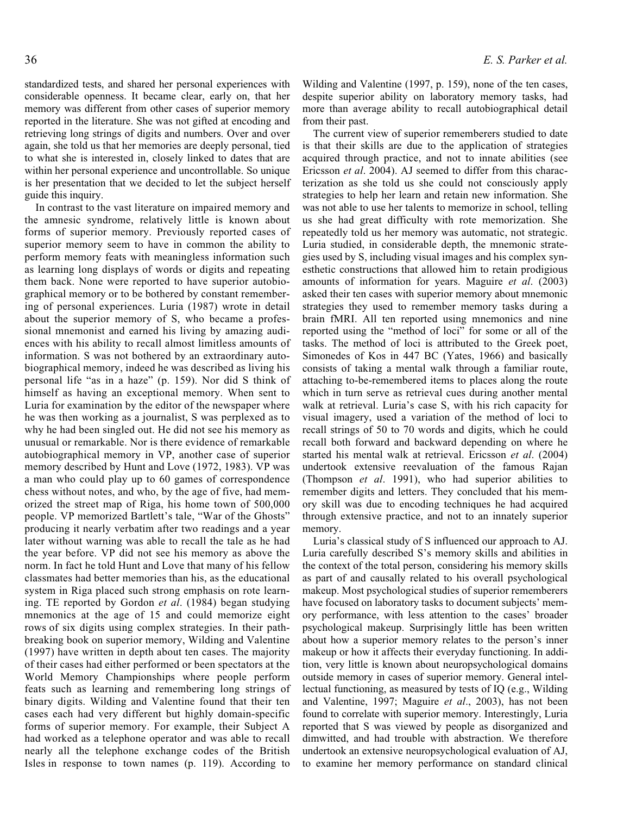standardized tests, and shared her personal experiences with considerable openness. It became clear, early on, that her memory was different from other cases of superior memory reported in the literature. She was not gifted at encoding and retrieving long strings of digits and numbers. Over and over again, she told us that her memories are deeply personal, tied to what she is interested in, closely linked to dates that are within her personal experience and uncontrollable. So unique is her presentation that we decided to let the subject herself guide this inquiry.

In contrast to the vast literature on impaired memory and the amnesic syndrome, relatively little is known about forms of superior memory. Previously reported cases of superior memory seem to have in common the ability to perform memory feats with meaningless information such as learning long displays of words or digits and repeating them back. None were reported to have superior autobiographical memory or to be bothered by constant remembering of personal experiences. Luria (1987) wrote in detail about the superior memory of S, who became a professional mnemonist and earned his living by amazing audiences with his ability to recall almost limitless amounts of information. S was not bothered by an extraordinary autobiographical memory, indeed he was described as living his personal life "as in a haze" (p. 159). Nor did S think of himself as having an exceptional memory. When sent to Luria for examination by the editor of the newspaper where he was then working as a journalist, S was perplexed as to why he had been singled out. He did not see his memory as unusual or remarkable. Nor is there evidence of remarkable autobiographical memory in VP, another case of superior memory described by Hunt and Love (1972, 1983). VP was a man who could play up to 60 games of correspondence chess without notes, and who, by the age of five, had memorized the street map of Riga, his home town of 500,000 people. VP memorized Bartlett's tale, "War of the Ghosts" producing it nearly verbatim after two readings and a year later without warning was able to recall the tale as he had the year before. VP did not see his memory as above the norm. In fact he told Hunt and Love that many of his fellow classmates had better memories than his, as the educational system in Riga placed such strong emphasis on rote learning. TE reported by Gordon *et al*. (1984) began studying mnemonics at the age of 15 and could memorize eight rows of six digits using complex strategies. In their pathbreaking book on superior memory, Wilding and Valentine (1997) have written in depth about ten cases. The majority of their cases had either performed or been spectators at the World Memory Championships where people perform feats such as learning and remembering long strings of binary digits. Wilding and Valentine found that their ten cases each had very different but highly domain-specific forms of superior memory. For example, their Subject A had worked as a telephone operator and was able to recall nearly all the telephone exchange codes of the British Isles in response to town names (p. 119). According to

Wilding and Valentine (1997, p. 159), none of the ten cases, despite superior ability on laboratory memory tasks, had more than average ability to recall autobiographical detail from their past.

The current view of superior rememberers studied to date is that their skills are due to the application of strategies acquired through practice, and not to innate abilities (see Ericsson *et al*. 2004). AJ seemed to differ from this characterization as she told us she could not consciously apply strategies to help her learn and retain new information. She was not able to use her talents to memorize in school, telling us she had great difficulty with rote memorization. She repeatedly told us her memory was automatic, not strategic. Luria studied, in considerable depth, the mnemonic strategies used by S, including visual images and his complex synesthetic constructions that allowed him to retain prodigious amounts of information for years. Maguire *et al*. (2003) asked their ten cases with superior memory about mnemonic strategies they used to remember memory tasks during a brain fMRI. All ten reported using mnemonics and nine reported using the "method of loci" for some or all of the tasks. The method of loci is attributed to the Greek poet, Simonedes of Kos in 447 BC (Yates, 1966) and basically consists of taking a mental walk through a familiar route, attaching to-be-remembered items to places along the route which in turn serve as retrieval cues during another mental walk at retrieval. Luria's case S, with his rich capacity for visual imagery, used a variation of the method of loci to recall strings of 50 to 70 words and digits, which he could recall both forward and backward depending on where he started his mental walk at retrieval. Ericsson *et al*. (2004) undertook extensive reevaluation of the famous Rajan (Thompson *et al*. 1991), who had superior abilities to remember digits and letters. They concluded that his memory skill was due to encoding techniques he had acquired through extensive practice, and not to an innately superior memory.

Luria's classical study of S influenced our approach to AJ. Luria carefully described S's memory skills and abilities in the context of the total person, considering his memory skills as part of and causally related to his overall psychological makeup. Most psychological studies of superior rememberers have focused on laboratory tasks to document subjects' memory performance, with less attention to the cases' broader psychological makeup. Surprisingly little has been written about how a superior memory relates to the person's inner makeup or how it affects their everyday functioning. In addition, very little is known about neuropsychological domains outside memory in cases of superior memory. General intellectual functioning, as measured by tests of IQ (e.g., Wilding and Valentine, 1997; Maguire *et al*., 2003), has not been found to correlate with superior memory. Interestingly, Luria reported that S was viewed by people as disorganized and dimwitted, and had trouble with abstraction. We therefore undertook an extensive neuropsychological evaluation of AJ, to examine her memory performance on standard clinical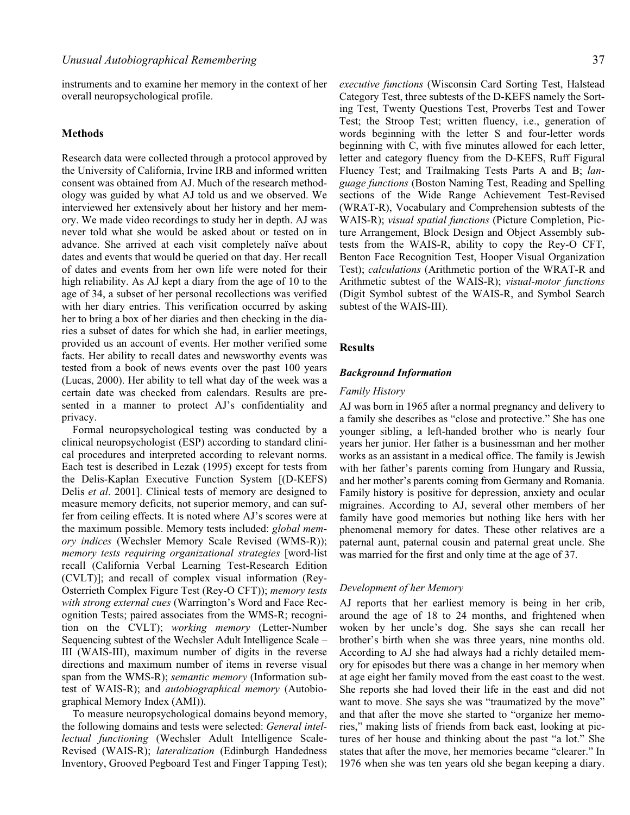instruments and to examine her memory in the context of her overall neuropsychological profile.

## **Methods**

Research data were collected through a protocol approved by the University of California, Irvine IRB and informed written consent was obtained from AJ. Much of the research methodology was guided by what AJ told us and we observed. We interviewed her extensively about her history and her memory. We made video recordings to study her in depth. AJ was never told what she would be asked about or tested on in advance. She arrived at each visit completely naïve about dates and events that would be queried on that day. Her recall of dates and events from her own life were noted for their high reliability. As AJ kept a diary from the age of 10 to the age of 34, a subset of her personal recollections was verified with her diary entries. This verification occurred by asking her to bring a box of her diaries and then checking in the diaries a subset of dates for which she had, in earlier meetings, provided us an account of events. Her mother verified some facts. Her ability to recall dates and newsworthy events was tested from a book of news events over the past 100 years (Lucas, 2000). Her ability to tell what day of the week was a certain date was checked from calendars. Results are presented in a manner to protect AJ's confidentiality and privacy.

Formal neuropsychological testing was conducted by a clinical neuropsychologist (ESP) according to standard clinical procedures and interpreted according to relevant norms. Each test is described in Lezak (1995) except for tests from the Delis-Kaplan Executive Function System [(D-KEFS) Delis *et al*. 2001]. Clinical tests of memory are designed to measure memory deficits, not superior memory, and can suffer from ceiling effects. It is noted where AJ's scores were at the maximum possible. Memory tests included: *global memory indices* (Wechsler Memory Scale Revised (WMS-R)); *memory tests requiring organizational strategies* [word-list recall (California Verbal Learning Test-Research Edition (CVLT)]; and recall of complex visual information (Rey-Osterrieth Complex Figure Test (Rey-O CFT)); *memory tests with strong external cues* (Warrington's Word and Face Recognition Tests; paired associates from the WMS-R; recognition on the CVLT); *working memory* (Letter-Number Sequencing subtest of the Wechsler Adult Intelligence Scale – III (WAIS-III), maximum number of digits in the reverse directions and maximum number of items in reverse visual span from the WMS-R); *semantic memory* (Information subtest of WAIS-R); and *autobiographical memory* (Autobiographical Memory Index (AMI)).

To measure neuropsychological domains beyond memory, the following domains and tests were selected: *General intellectual functioning* (Wechsler Adult Intelligence Scale-Revised (WAIS-R); *lateralization* (Edinburgh Handedness Inventory, Grooved Pegboard Test and Finger Tapping Test); *executive functions* (Wisconsin Card Sorting Test, Halstead Category Test, three subtests of the D-KEFS namely the Sorting Test, Twenty Questions Test, Proverbs Test and Tower Test; the Stroop Test; written fluency, i.e., generation of words beginning with the letter S and four-letter words beginning with C, with five minutes allowed for each letter, letter and category fluency from the D-KEFS, Ruff Figural Fluency Test; and Trailmaking Tests Parts A and B; *language functions* (Boston Naming Test, Reading and Spelling sections of the Wide Range Achievement Test-Revised (WRAT-R), Vocabulary and Comprehension subtests of the WAIS-R); *visual spatial functions* (Picture Completion, Picture Arrangement, Block Design and Object Assembly subtests from the WAIS-R, ability to copy the Rey-O CFT, Benton Face Recognition Test, Hooper Visual Organization Test); *calculations* (Arithmetic portion of the WRAT-R and Arithmetic subtest of the WAIS-R); *visual-motor functions* (Digit Symbol subtest of the WAIS-R, and Symbol Search subtest of the WAIS-III).

## **Results**

# *Background Information*

#### *Family History*

AJ was born in 1965 after a normal pregnancy and delivery to a family she describes as "close and protective." She has one younger sibling, a left-handed brother who is nearly four years her junior. Her father is a businessman and her mother works as an assistant in a medical office. The family is Jewish with her father's parents coming from Hungary and Russia, and her mother's parents coming from Germany and Romania. Family history is positive for depression, anxiety and ocular migraines. According to AJ, several other members of her family have good memories but nothing like hers with her phenomenal memory for dates. These other relatives are a paternal aunt, paternal cousin and paternal great uncle. She was married for the first and only time at the age of 37.

### *Development of her Memory*

AJ reports that her earliest memory is being in her crib, around the age of 18 to 24 months, and frightened when woken by her uncle's dog. She says she can recall her brother's birth when she was three years, nine months old. According to AJ she had always had a richly detailed memory for episodes but there was a change in her memory when at age eight her family moved from the east coast to the west. She reports she had loved their life in the east and did not want to move. She says she was "traumatized by the move" and that after the move she started to "organize her memories," making lists of friends from back east, looking at pictures of her house and thinking about the past "a lot." She states that after the move, her memories became "clearer." In 1976 when she was ten years old she began keeping a diary.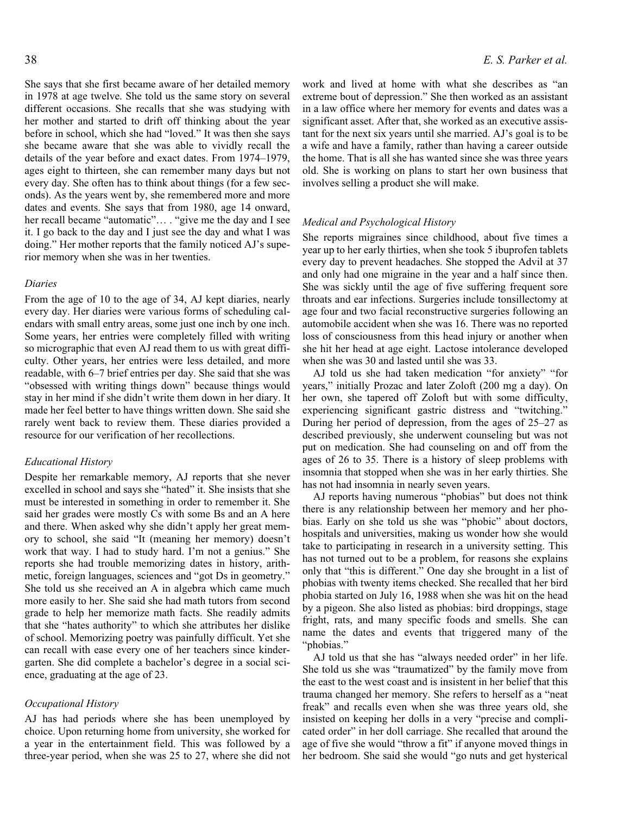She says that she first became aware of her detailed memory in 1978 at age twelve. She told us the same story on several different occasions. She recalls that she was studying with her mother and started to drift off thinking about the year before in school, which she had "loved." It was then she says she became aware that she was able to vividly recall the details of the year before and exact dates. From 1974–1979, ages eight to thirteen, she can remember many days but not every day. She often has to think about things (for a few seconds). As the years went by, she remembered more and more dates and events. She says that from 1980, age 14 onward, her recall became "automatic"... . "give me the day and I see it. I go back to the day and I just see the day and what I was doing." Her mother reports that the family noticed AJ's superior memory when she was in her twenties.

## *Diaries*

From the age of 10 to the age of 34, AJ kept diaries, nearly every day. Her diaries were various forms of scheduling calendars with small entry areas, some just one inch by one inch. Some years, her entries were completely filled with writing so micrographic that even AJ read them to us with great difficulty. Other years, her entries were less detailed, and more readable, with 6–7 brief entries per day. She said that she was "obsessed with writing things down" because things would stay in her mind if she didn't write them down in her diary. It made her feel better to have things written down. She said she rarely went back to review them. These diaries provided a resource for our verification of her recollections.

# *Educational History*

Despite her remarkable memory, AJ reports that she never excelled in school and says she "hated" it. She insists that she must be interested in something in order to remember it. She said her grades were mostly Cs with some Bs and an A here and there. When asked why she didn't apply her great memory to school, she said "It (meaning her memory) doesn't work that way. I had to study hard. I'm not a genius." She reports she had trouble memorizing dates in history, arithmetic, foreign languages, sciences and "got Ds in geometry." She told us she received an A in algebra which came much more easily to her. She said she had math tutors from second grade to help her memorize math facts. She readily admits that she "hates authority" to which she attributes her dislike of school. Memorizing poetry was painfully difficult. Yet she can recall with ease every one of her teachers since kindergarten. She did complete a bachelor's degree in a social science, graduating at the age of 23.

## *Occupational History*

AJ has had periods where she has been unemployed by choice. Upon returning home from university, she worked for a year in the entertainment field. This was followed by a three-year period, when she was 25 to 27, where she did not

work and lived at home with what she describes as "an extreme bout of depression." She then worked as an assistant in a law office where her memory for events and dates was a significant asset. After that, she worked as an executive assistant for the next six years until she married. AJ's goal is to be a wife and have a family, rather than having a career outside the home. That is all she has wanted since she was three years old. She is working on plans to start her own business that involves selling a product she will make.

# *Medical and Psychological History*

She reports migraines since childhood, about five times a year up to her early thirties, when she took 5 ibuprofen tablets every day to prevent headaches. She stopped the Advil at 37 and only had one migraine in the year and a half since then. She was sickly until the age of five suffering frequent sore throats and ear infections. Surgeries include tonsillectomy at age four and two facial reconstructive surgeries following an automobile accident when she was 16. There was no reported loss of consciousness from this head injury or another when she hit her head at age eight. Lactose intolerance developed when she was 30 and lasted until she was 33.

AJ told us she had taken medication "for anxiety" "for years," initially Prozac and later Zoloft (200 mg a day). On her own, she tapered off Zoloft but with some difficulty, experiencing significant gastric distress and "twitching." During her period of depression, from the ages of 25–27 as described previously, she underwent counseling but was not put on medication. She had counseling on and off from the ages of 26 to 35. There is a history of sleep problems with insomnia that stopped when she was in her early thirties. She has not had insomnia in nearly seven years.

AJ reports having numerous "phobias" but does not think there is any relationship between her memory and her phobias. Early on she told us she was "phobic" about doctors, hospitals and universities, making us wonder how she would take to participating in research in a university setting. This has not turned out to be a problem, for reasons she explains only that "this is different." One day she brought in a list of phobias with twenty items checked. She recalled that her bird phobia started on July 16, 1988 when she was hit on the head by a pigeon. She also listed as phobias: bird droppings, stage fright, rats, and many specific foods and smells. She can name the dates and events that triggered many of the "phobias."

AJ told us that she has "always needed order" in her life. She told us she was "traumatized" by the family move from the east to the west coast and is insistent in her belief that this trauma changed her memory. She refers to herself as a "neat freak" and recalls even when she was three years old, she insisted on keeping her dolls in a very "precise and complicated order" in her doll carriage. She recalled that around the age of five she would "throw a fit" if anyone moved things in her bedroom. She said she would "go nuts and get hysterical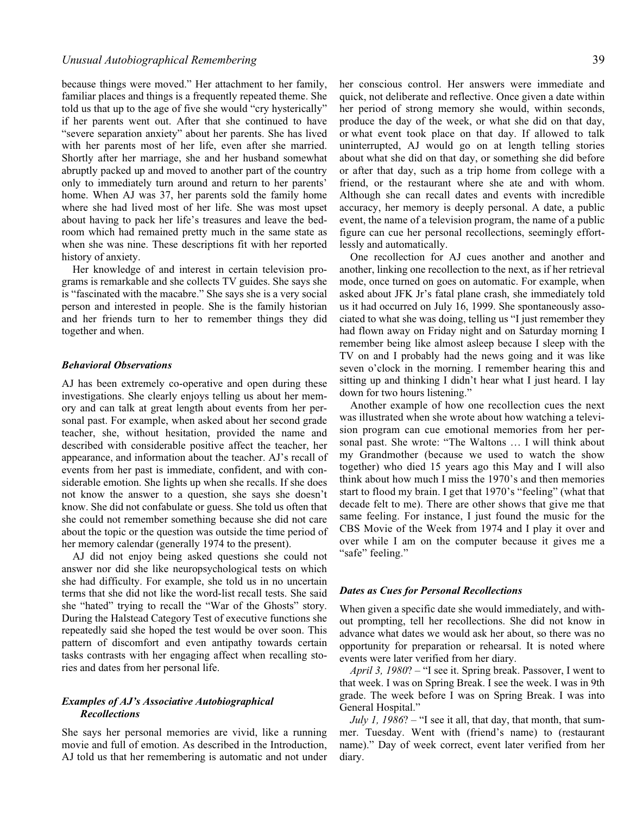because things were moved." Her attachment to her family, familiar places and things is a frequently repeated theme. She told us that up to the age of five she would "cry hysterically" if her parents went out. After that she continued to have "severe separation anxiety" about her parents. She has lived with her parents most of her life, even after she married. Shortly after her marriage, she and her husband somewhat abruptly packed up and moved to another part of the country only to immediately turn around and return to her parents' home. When AJ was 37, her parents sold the family home where she had lived most of her life. She was most upset about having to pack her life's treasures and leave the bedroom which had remained pretty much in the same state as when she was nine. These descriptions fit with her reported history of anxiety.

Her knowledge of and interest in certain television programs is remarkable and she collects TV guides. She says she is "fascinated with the macabre." She says she is a very social person and interested in people. She is the family historian and her friends turn to her to remember things they did together and when.

### *Behavioral Observations*

AJ has been extremely co-operative and open during these investigations. She clearly enjoys telling us about her memory and can talk at great length about events from her personal past. For example, when asked about her second grade teacher, she, without hesitation, provided the name and described with considerable positive affect the teacher, her appearance, and information about the teacher. AJ's recall of events from her past is immediate, confident, and with considerable emotion. She lights up when she recalls. If she does not know the answer to a question, she says she doesn't know. She did not confabulate or guess. She told us often that she could not remember something because she did not care about the topic or the question was outside the time period of her memory calendar (generally 1974 to the present).

AJ did not enjoy being asked questions she could not answer nor did she like neuropsychological tests on which she had difficulty. For example, she told us in no uncertain terms that she did not like the word-list recall tests. She said she "hated" trying to recall the "War of the Ghosts" story. During the Halstead Category Test of executive functions she repeatedly said she hoped the test would be over soon. This pattern of discomfort and even antipathy towards certain tasks contrasts with her engaging affect when recalling stories and dates from her personal life.

# *Examples of AJ's Associative Autobiographical Recollections*

She says her personal memories are vivid, like a running movie and full of emotion. As described in the Introduction, AJ told us that her remembering is automatic and not under her conscious control. Her answers were immediate and quick, not deliberate and reflective. Once given a date within her period of strong memory she would, within seconds, produce the day of the week, or what she did on that day, or what event took place on that day. If allowed to talk uninterrupted, AJ would go on at length telling stories about what she did on that day, or something she did before or after that day, such as a trip home from college with a friend, or the restaurant where she ate and with whom. Although she can recall dates and events with incredible accuracy, her memory is deeply personal. A date, a public event, the name of a television program, the name of a public figure can cue her personal recollections, seemingly effortlessly and automatically.

One recollection for AJ cues another and another and another, linking one recollection to the next, as if her retrieval mode, once turned on goes on automatic. For example, when asked about JFK Jr's fatal plane crash, she immediately told us it had occurred on July 16, 1999. She spontaneously associated to what she was doing, telling us "I just remember they had flown away on Friday night and on Saturday morning I remember being like almost asleep because I sleep with the TV on and I probably had the news going and it was like seven o'clock in the morning. I remember hearing this and sitting up and thinking I didn't hear what I just heard. I lay down for two hours listening."

Another example of how one recollection cues the next was illustrated when she wrote about how watching a television program can cue emotional memories from her personal past. She wrote: "The Waltons … I will think about my Grandmother (because we used to watch the show together) who died 15 years ago this May and I will also think about how much I miss the 1970's and then memories start to flood my brain. I get that 1970's "feeling" (what that decade felt to me). There are other shows that give me that same feeling. For instance, I just found the music for the CBS Movie of the Week from 1974 and I play it over and over while I am on the computer because it gives me a "safe" feeling."

## *Dates as Cues for Personal Recollections*

When given a specific date she would immediately, and without prompting, tell her recollections. She did not know in advance what dates we would ask her about, so there was no opportunity for preparation or rehearsal. It is noted where events were later verified from her diary.

*April 3, 1980*? – "I see it. Spring break. Passover, I went to that week. I was on Spring Break. I see the week. I was in 9th grade. The week before I was on Spring Break. I was into General Hospital."

*July 1, 1986*? – "I see it all, that day, that month, that summer. Tuesday. Went with (friend's name) to (restaurant name)." Day of week correct, event later verified from her diary.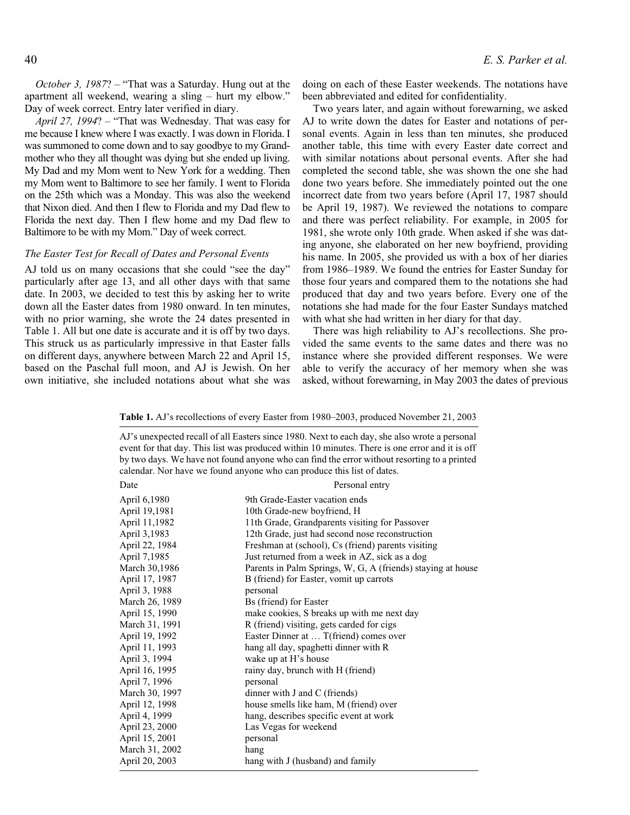*October 3, 1987*? – "That was a Saturday. Hung out at the apartment all weekend, wearing a sling – hurt my elbow." Day of week correct. Entry later verified in diary.

*April 27, 1994*? – "That was Wednesday. That was easy for me because I knew where I was exactly. I was down in Florida. I was summoned to come down and to say goodbye to my Grandmother who they all thought was dying but she ended up living. My Dad and my Mom went to New York for a wedding. Then my Mom went to Baltimore to see her family. I went to Florida on the 25th which was a Monday. This was also the weekend that Nixon died. And then I flew to Florida and my Dad flew to Florida the next day. Then I flew home and my Dad flew to Baltimore to be with my Mom." Day of week correct.

# *The Easter Test for Recall of Dates and Personal Events*

AJ told us on many occasions that she could "see the day" particularly after age 13, and all other days with that same date. In 2003, we decided to test this by asking her to write down all the Easter dates from 1980 onward. In ten minutes, with no prior warning, she wrote the 24 dates presented in Table 1. All but one date is accurate and it is off by two days. This struck us as particularly impressive in that Easter falls on different days, anywhere between March 22 and April 15, based on the Paschal full moon, and AJ is Jewish. On her own initiative, she included notations about what she was

doing on each of these Easter weekends. The notations have been abbreviated and edited for confidentiality.

Two years later, and again without forewarning, we asked AJ to write down the dates for Easter and notations of personal events. Again in less than ten minutes, she produced another table, this time with every Easter date correct and with similar notations about personal events. After she had completed the second table, she was shown the one she had done two years before. She immediately pointed out the one incorrect date from two years before (April 17, 1987 should be April 19, 1987). We reviewed the notations to compare and there was perfect reliability. For example, in 2005 for 1981, she wrote only 10th grade. When asked if she was dating anyone, she elaborated on her new boyfriend, providing his name. In 2005, she provided us with a box of her diaries from 1986–1989. We found the entries for Easter Sunday for those four years and compared them to the notations she had produced that day and two years before. Every one of the notations she had made for the four Easter Sundays matched with what she had written in her diary for that day.

There was high reliability to AJ's recollections. She provided the same events to the same dates and there was no instance where she provided different responses. We were able to verify the accuracy of her memory when she was asked, without forewarning, in May 2003 the dates of previous

**Table 1.** AJ's recollections of every Easter from 1980–2003, produced November 21, 2003

AJ's unexpected recall of all Easters since 1980. Next to each day, she also wrote a personal event for that day. This list was produced within 10 minutes. There is one error and it is off by two days. We have not found anyone who can find the error without resorting to a printed calendar. Nor have we found anyone who can produce this list of dates.

| Date           | Personal entry                                              |
|----------------|-------------------------------------------------------------|
| April 6,1980   | 9th Grade-Easter vacation ends                              |
| April 19,1981  | 10th Grade-new boyfriend, H                                 |
| April 11,1982  | 11th Grade, Grandparents visiting for Passover              |
| April 3,1983   | 12th Grade, just had second nose reconstruction             |
| April 22, 1984 | Freshman at (school), Cs (friend) parents visiting          |
| April 7,1985   | Just returned from a week in AZ, sick as a dog              |
| March 30,1986  | Parents in Palm Springs, W, G, A (friends) staying at house |
| April 17, 1987 | B (friend) for Easter, vomit up carrots                     |
| April 3, 1988  | personal                                                    |
| March 26, 1989 | Bs (friend) for Easter                                      |
| April 15, 1990 | make cookies, S breaks up with me next day                  |
| March 31, 1991 | R (friend) visiting, gets carded for cigs                   |
| April 19, 1992 | Easter Dinner at  T(friend) comes over                      |
| April 11, 1993 | hang all day, spaghetti dinner with R                       |
| April 3, 1994  | wake up at H's house                                        |
| April 16, 1995 | rainy day, brunch with H (friend)                           |
| April 7, 1996  | personal                                                    |
| March 30, 1997 | dinner with J and C (friends)                               |
| April 12, 1998 | house smells like ham, M (friend) over                      |
| April 4, 1999  | hang, describes specific event at work                      |
| April 23, 2000 | Las Vegas for weekend                                       |
| April 15, 2001 | personal                                                    |
| March 31, 2002 | hang                                                        |
| April 20, 2003 | hang with J (husband) and family                            |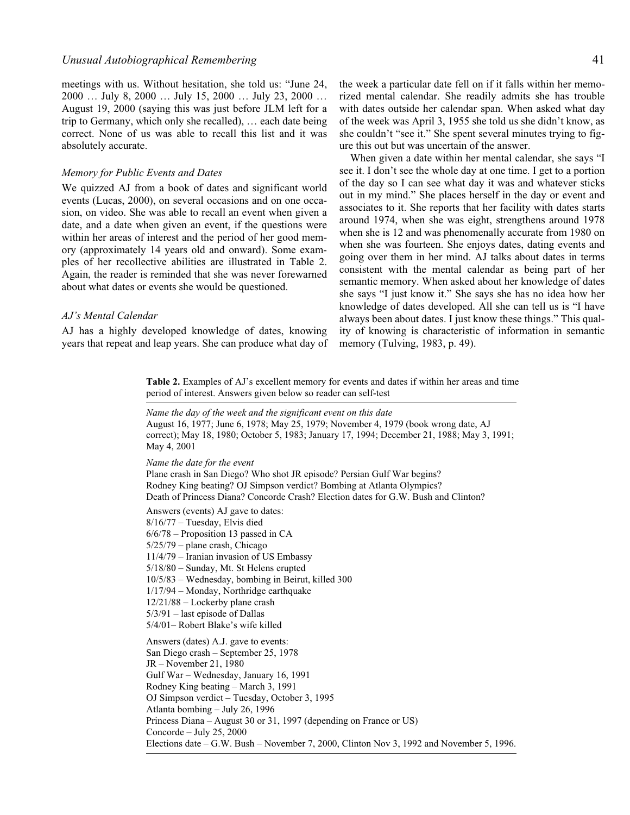meetings with us. Without hesitation, she told us: "June 24, 2000 … July 8, 2000 … July 15, 2000 … July 23, 2000 … August 19, 2000 (saying this was just before JLM left for a trip to Germany, which only she recalled), … each date being correct. None of us was able to recall this list and it was absolutely accurate.

# *Memory for Public Events and Dates*

We quizzed AJ from a book of dates and significant world events (Lucas, 2000), on several occasions and on one occasion, on video. She was able to recall an event when given a date, and a date when given an event, if the questions were within her areas of interest and the period of her good memory (approximately 14 years old and onward). Some examples of her recollective abilities are illustrated in Table 2. Again, the reader is reminded that she was never forewarned about what dates or events she would be questioned.

# *AJ's Mental Calendar*

AJ has a highly developed knowledge of dates, knowing years that repeat and leap years. She can produce what day of the week a particular date fell on if it falls within her memorized mental calendar. She readily admits she has trouble with dates outside her calendar span. When asked what day of the week was April 3, 1955 she told us she didn't know, as she couldn't "see it." She spent several minutes trying to figure this out but was uncertain of the answer.

When given a date within her mental calendar, she says "I see it. I don't see the whole day at one time. I get to a portion of the day so I can see what day it was and whatever sticks out in my mind." She places herself in the day or event and associates to it. She reports that her facility with dates starts around 1974, when she was eight, strengthens around 1978 when she is 12 and was phenomenally accurate from 1980 on when she was fourteen. She enjoys dates, dating events and going over them in her mind. AJ talks about dates in terms consistent with the mental calendar as being part of her semantic memory. When asked about her knowledge of dates she says "I just know it." She says she has no idea how her knowledge of dates developed. All she can tell us is "I have always been about dates. I just know these things." This quality of knowing is characteristic of information in semantic memory (Tulving, 1983, p. 49).

**Table 2.** Examples of AJ's excellent memory for events and dates if within her areas and time period of interest. Answers given below so reader can self-test

*Name the day of the week and the significant event on this date* August 16, 1977; June 6, 1978; May 25, 1979; November 4, 1979 (book wrong date, AJ correct); May 18, 1980; October 5, 1983; January 17, 1994; December 21, 1988; May 3, 1991; May 4, 2001 *Name the date for the event* Plane crash in San Diego? Who shot JR episode? Persian Gulf War begins? Rodney King beating? OJ Simpson verdict? Bombing at Atlanta Olympics? Death of Princess Diana? Concorde Crash? Election dates for G.W. Bush and Clinton? Answers (events) AJ gave to dates: 8/16/77 – Tuesday, Elvis died 6/6/78 – Proposition 13 passed in CA 5/25/79 – plane crash, Chicago 11/4/79 – Iranian invasion of US Embassy 5/18/80 – Sunday, Mt. St Helens erupted 10/5/83 – Wednesday, bombing in Beirut, killed 300 1/17/94 – Monday, Northridge earthquake 12/21/88 – Lockerby plane crash 5/3/91 – last episode of Dallas 5/4/01– Robert Blake's wife killed Answers (dates) A.J. gave to events: San Diego crash – September 25, 1978 JR – November 21, 1980 Gulf War – Wednesday, January 16, 1991 Rodney King beating – March 3, 1991 OJ Simpson verdict – Tuesday, October 3, 1995 Atlanta bombing – July 26, 1996 Princess Diana – August 30 or 31, 1997 (depending on France or US) Concorde – July 25, 2000 Elections date – G.W. Bush – November 7, 2000, Clinton Nov 3, 1992 and November 5, 1996.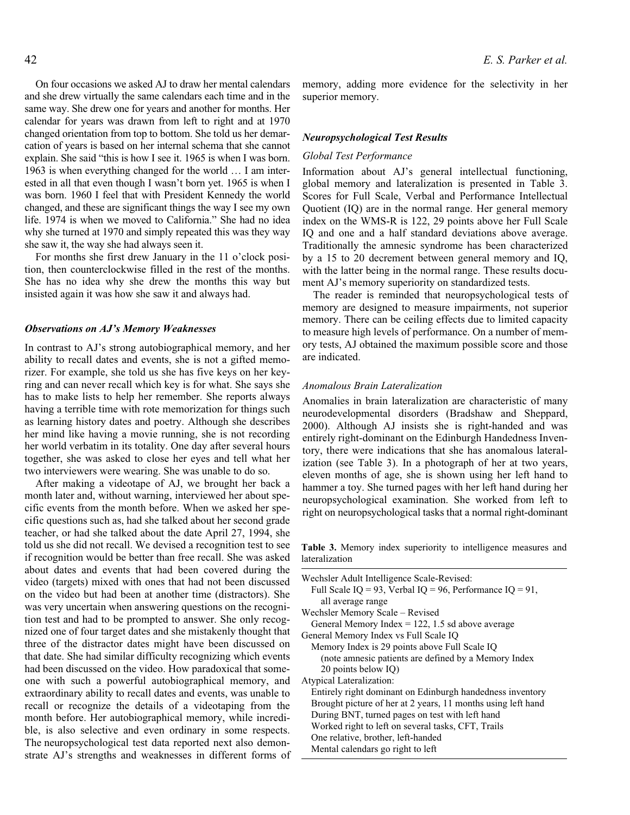On four occasions we asked AJ to draw her mental calendars and she drew virtually the same calendars each time and in the same way. She drew one for years and another for months. Her calendar for years was drawn from left to right and at 1970 changed orientation from top to bottom. She told us her demarcation of years is based on her internal schema that she cannot explain. She said "this is how I see it. 1965 is when I was born. 1963 is when everything changed for the world … I am interested in all that even though I wasn't born yet. 1965 is when I was born. 1960 I feel that with President Kennedy the world changed, and these are significant things the way I see my own life. 1974 is when we moved to California." She had no idea why she turned at 1970 and simply repeated this was they way she saw it, the way she had always seen it.

For months she first drew January in the 11 o'clock position, then counterclockwise filled in the rest of the months. She has no idea why she drew the months this way but insisted again it was how she saw it and always had.

# *Observations on AJ's Memory Weaknesses*

In contrast to AJ's strong autobiographical memory, and her ability to recall dates and events, she is not a gifted memorizer. For example, she told us she has five keys on her keyring and can never recall which key is for what. She says she has to make lists to help her remember. She reports always having a terrible time with rote memorization for things such as learning history dates and poetry. Although she describes her mind like having a movie running, she is not recording her world verbatim in its totality. One day after several hours together, she was asked to close her eyes and tell what her two interviewers were wearing. She was unable to do so.

After making a videotape of AJ, we brought her back a month later and, without warning, interviewed her about specific events from the month before. When we asked her specific questions such as, had she talked about her second grade teacher, or had she talked about the date April 27, 1994, she told us she did not recall. We devised a recognition test to see if recognition would be better than free recall. She was asked about dates and events that had been covered during the video (targets) mixed with ones that had not been discussed on the video but had been at another time (distractors). She was very uncertain when answering questions on the recognition test and had to be prompted to answer. She only recognized one of four target dates and she mistakenly thought that three of the distractor dates might have been discussed on that date. She had similar difficulty recognizing which events had been discussed on the video. How paradoxical that someone with such a powerful autobiographical memory, and extraordinary ability to recall dates and events, was unable to recall or recognize the details of a videotaping from the month before. Her autobiographical memory, while incredible, is also selective and even ordinary in some respects. The neuropsychological test data reported next also demonstrate AJ's strengths and weaknesses in different forms of memory, adding more evidence for the selectivity in her superior memory.

### *Neuropsychological Test Results*

## *Global Test Performance*

Information about AJ's general intellectual functioning, global memory and lateralization is presented in Table 3. Scores for Full Scale, Verbal and Performance Intellectual Quotient (IQ) are in the normal range. Her general memory index on the WMS-R is 122, 29 points above her Full Scale IQ and one and a half standard deviations above average. Traditionally the amnesic syndrome has been characterized by a 15 to 20 decrement between general memory and IQ, with the latter being in the normal range. These results document AJ's memory superiority on standardized tests.

The reader is reminded that neuropsychological tests of memory are designed to measure impairments, not superior memory. There can be ceiling effects due to limited capacity to measure high levels of performance. On a number of memory tests, AJ obtained the maximum possible score and those are indicated.

## *Anomalous Brain Lateralization*

Anomalies in brain lateralization are characteristic of many neurodevelopmental disorders (Bradshaw and Sheppard, 2000). Although AJ insists she is right-handed and was entirely right-dominant on the Edinburgh Handedness Inventory, there were indications that she has anomalous lateralization (see Table 3). In a photograph of her at two years, eleven months of age, she is shown using her left hand to hammer a toy. She turned pages with her left hand during her neuropsychological examination. She worked from left to right on neuropsychological tasks that a normal right-dominant

**Table 3.** Memory index superiority to intelligence measures and lateralization

Wechsler Adult Intelligence Scale-Revised: Full Scale IQ = 93, Verbal IQ = 96, Performance IQ = 91, all average range Wechsler Memory Scale – Revised General Memory Index  $= 122, 1.5$  sd above average General Memory Index vs Full Scale IQ Memory Index is 29 points above Full Scale IQ (note amnesic patients are defined by a Memory Index 20 points below IQ) Atypical Lateralization: Entirely right dominant on Edinburgh handedness inventory Brought picture of her at 2 years, 11 months using left hand During BNT, turned pages on test with left hand Worked right to left on several tasks, CFT, Trails One relative, brother, left-handed Mental calendars go right to left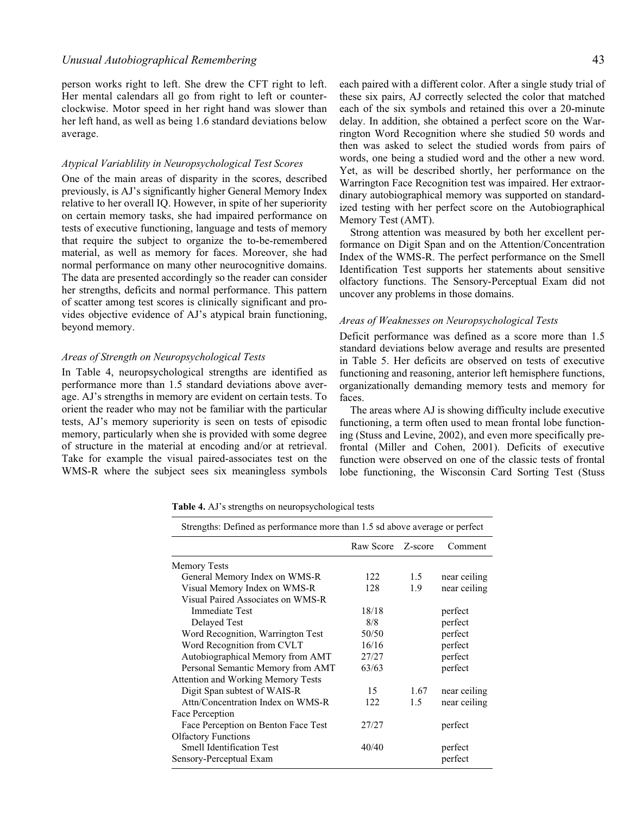person works right to left. She drew the CFT right to left. Her mental calendars all go from right to left or counterclockwise. Motor speed in her right hand was slower than her left hand, as well as being 1.6 standard deviations below average.

# *Atypical Variablility in Neuropsychological Test Scores*

One of the main areas of disparity in the scores, described previously, is AJ's significantly higher General Memory Index relative to her overall IQ. However, in spite of her superiority on certain memory tasks, she had impaired performance on tests of executive functioning, language and tests of memory that require the subject to organize the to-be-remembered material, as well as memory for faces. Moreover, she had normal performance on many other neurocognitive domains. The data are presented accordingly so the reader can consider her strengths, deficits and normal performance. This pattern of scatter among test scores is clinically significant and provides objective evidence of AJ's atypical brain functioning, beyond memory.

# *Areas of Strength on Neuropsychological Tests*

In Table 4, neuropsychological strengths are identified as performance more than 1.5 standard deviations above average. AJ's strengths in memory are evident on certain tests. To orient the reader who may not be familiar with the particular tests, AJ's memory superiority is seen on tests of episodic memory, particularly when she is provided with some degree of structure in the material at encoding and/or at retrieval. Take for example the visual paired-associates test on the WMS-R where the subject sees six meaningless symbols each paired with a different color. After a single study trial of these six pairs, AJ correctly selected the color that matched each of the six symbols and retained this over a 20-minute delay. In addition, she obtained a perfect score on the Warrington Word Recognition where she studied 50 words and then was asked to select the studied words from pairs of words, one being a studied word and the other a new word. Yet, as will be described shortly, her performance on the Warrington Face Recognition test was impaired. Her extraordinary autobiographical memory was supported on standardized testing with her perfect score on the Autobiographical Memory Test (AMT).

Strong attention was measured by both her excellent performance on Digit Span and on the Attention/Concentration Index of the WMS-R. The perfect performance on the Smell Identification Test supports her statements about sensitive olfactory functions. The Sensory-Perceptual Exam did not uncover any problems in those domains.

### *Areas of Weaknesses on Neuropsychological Tests*

Deficit performance was defined as a score more than 1.5 standard deviations below average and results are presented in Table 5. Her deficits are observed on tests of executive functioning and reasoning, anterior left hemisphere functions, organizationally demanding memory tests and memory for faces.

The areas where AJ is showing difficulty include executive functioning, a term often used to mean frontal lobe functioning (Stuss and Levine, 2002), and even more specifically prefrontal (Miller and Cohen, 2001). Deficits of executive function were observed on one of the classic tests of frontal lobe functioning, the Wisconsin Card Sorting Test (Stuss

**Table 4.** AJ's strengths on neuropsychological tests

| Strengths: Defined as performance more than 1.5 sd above average or perfect |                   |      |              |  |  |
|-----------------------------------------------------------------------------|-------------------|------|--------------|--|--|
|                                                                             | Raw Score Z-score |      | Comment      |  |  |
| <b>Memory Tests</b>                                                         |                   |      |              |  |  |
| General Memory Index on WMS-R                                               | 122.              | 1.5  | near ceiling |  |  |
| Visual Memory Index on WMS-R                                                | 128               | 1.9  | near ceiling |  |  |
| Visual Paired Associates on WMS-R                                           |                   |      |              |  |  |
| Immediate Test                                                              | 18/18             |      | perfect      |  |  |
| Delayed Test                                                                | 8/8               |      | perfect      |  |  |
| Word Recognition, Warrington Test                                           | 50/50             |      | perfect      |  |  |
| Word Recognition from CVLT                                                  | 16/16             |      | perfect      |  |  |
| Autobiographical Memory from AMT                                            | 27/27             |      | perfect      |  |  |
| Personal Semantic Memory from AMT                                           | 63/63             |      | perfect      |  |  |
| <b>Attention and Working Memory Tests</b>                                   |                   |      |              |  |  |
| Digit Span subtest of WAIS-R                                                | 15                | 1.67 | near ceiling |  |  |
| Attn/Concentration Index on WMS-R                                           | 122.              | 1.5  | near ceiling |  |  |
| Face Perception                                                             |                   |      |              |  |  |
| Face Perception on Benton Face Test                                         | 27/27             |      | perfect      |  |  |
| <b>Olfactory Functions</b>                                                  |                   |      |              |  |  |
| <b>Smell Identification Test</b>                                            | 40/40             |      | perfect      |  |  |
| Sensory-Perceptual Exam                                                     |                   |      | perfect      |  |  |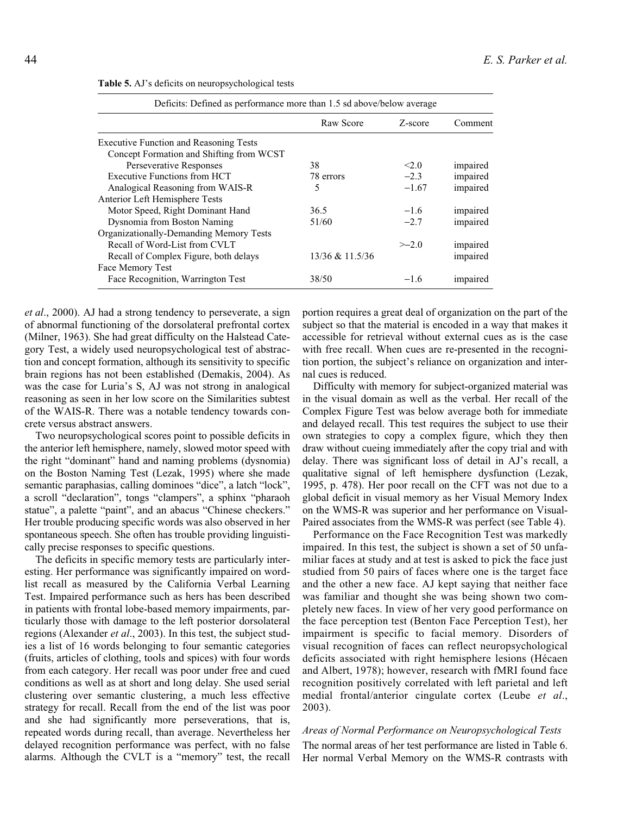| Deficits: Defined as performance more than 1.5 sd above/below average |                    |         |          |  |
|-----------------------------------------------------------------------|--------------------|---------|----------|--|
|                                                                       | Raw Score          | Z-score | Comment  |  |
| <b>Executive Function and Reasoning Tests</b>                         |                    |         |          |  |
| Concept Formation and Shifting from WCST                              |                    |         |          |  |
| Perseverative Responses                                               | 38                 | < 2.0   | impaired |  |
| <b>Executive Functions from HCT</b>                                   | 78 errors          | $-2.3$  | impaired |  |
| Analogical Reasoning from WAIS-R                                      | 5                  | $-1.67$ | impaired |  |
| Anterior Left Hemisphere Tests                                        |                    |         |          |  |
| Motor Speed, Right Dominant Hand                                      | 36.5               | $-1.6$  | impaired |  |
| Dysnomia from Boston Naming                                           | 51/60              | $-2.7$  | impaired |  |
| Organizationally-Demanding Memory Tests                               |                    |         |          |  |
| Recall of Word-List from CVLT                                         |                    | $>-2.0$ | impaired |  |
| Recall of Complex Figure, both delays                                 | $13/36 \& 11.5/36$ |         | impaired |  |
| Face Memory Test                                                      |                    |         |          |  |
| Face Recognition, Warrington Test                                     | 38/50              | $-1.6$  | impaired |  |

**Table 5.** AJ's deficits on neuropsychological tests

*et al*., 2000). AJ had a strong tendency to perseverate, a sign of abnormal functioning of the dorsolateral prefrontal cortex (Milner, 1963). She had great difficulty on the Halstead Category Test, a widely used neuropsychological test of abstraction and concept formation, although its sensitivity to specific brain regions has not been established (Demakis, 2004). As was the case for Luria's S, AJ was not strong in analogical reasoning as seen in her low score on the Similarities subtest of the WAIS-R. There was a notable tendency towards concrete versus abstract answers.

Two neuropsychological scores point to possible deficits in the anterior left hemisphere, namely, slowed motor speed with the right "dominant" hand and naming problems (dysnomia) on the Boston Naming Test (Lezak, 1995) where she made semantic paraphasias, calling dominoes "dice", a latch "lock", a scroll "declaration", tongs "clampers", a sphinx "pharaoh statue", a palette "paint", and an abacus "Chinese checkers." Her trouble producing specific words was also observed in her spontaneous speech. She often has trouble providing linguistically precise responses to specific questions.

The deficits in specific memory tests are particularly interesting. Her performance was significantly impaired on wordlist recall as measured by the California Verbal Learning Test. Impaired performance such as hers has been described in patients with frontal lobe-based memory impairments, particularly those with damage to the left posterior dorsolateral regions (Alexander *et al*., 2003). In this test, the subject studies a list of 16 words belonging to four semantic categories (fruits, articles of clothing, tools and spices) with four words from each category. Her recall was poor under free and cued conditions as well as at short and long delay. She used serial clustering over semantic clustering, a much less effective strategy for recall. Recall from the end of the list was poor and she had significantly more perseverations, that is, repeated words during recall, than average. Nevertheless her delayed recognition performance was perfect, with no false alarms. Although the CVLT is a "memory" test, the recall

portion requires a great deal of organization on the part of the subject so that the material is encoded in a way that makes it accessible for retrieval without external cues as is the case with free recall. When cues are re-presented in the recognition portion, the subject's reliance on organization and internal cues is reduced.

Difficulty with memory for subject-organized material was in the visual domain as well as the verbal. Her recall of the Complex Figure Test was below average both for immediate and delayed recall. This test requires the subject to use their own strategies to copy a complex figure, which they then draw without cueing immediately after the copy trial and with delay. There was significant loss of detail in AJ's recall, a qualitative signal of left hemisphere dysfunction (Lezak, 1995, p. 478). Her poor recall on the CFT was not due to a global deficit in visual memory as her Visual Memory Index on the WMS-R was superior and her performance on Visual-Paired associates from the WMS-R was perfect (see Table 4).

Performance on the Face Recognition Test was markedly impaired. In this test, the subject is shown a set of 50 unfamiliar faces at study and at test is asked to pick the face just studied from 50 pairs of faces where one is the target face and the other a new face. AJ kept saying that neither face was familiar and thought she was being shown two completely new faces. In view of her very good performance on the face perception test (Benton Face Perception Test), her impairment is specific to facial memory. Disorders of visual recognition of faces can reflect neuropsychological deficits associated with right hemisphere lesions (Hécaen and Albert, 1978); however, research with fMRI found face recognition positively correlated with left parietal and left medial frontal/anterior cingulate cortex (Leube *et al*., 2003).

*Areas of Normal Performance on Neuropsychological Tests* The normal areas of her test performance are listed in Table 6. Her normal Verbal Memory on the WMS-R contrasts with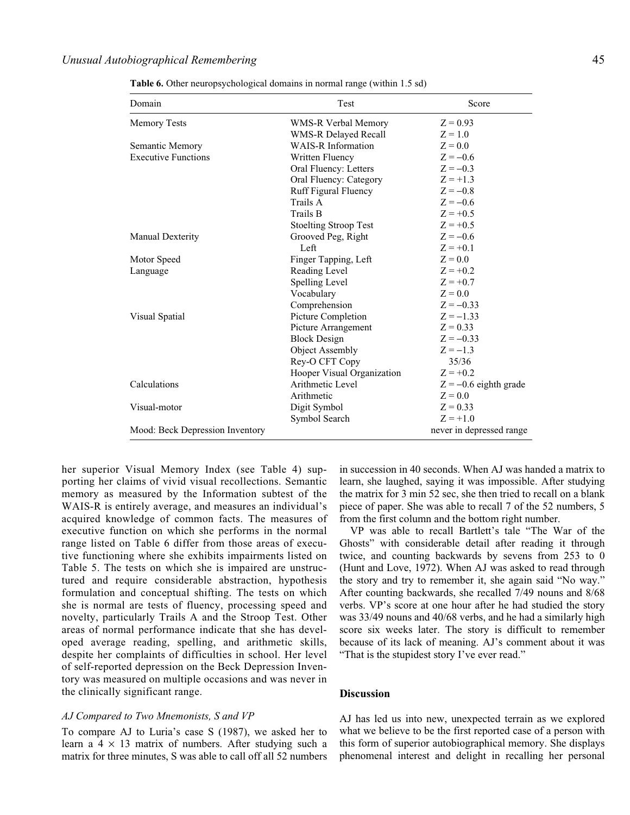| Domain                          | Test                         | Score                    |
|---------------------------------|------------------------------|--------------------------|
| <b>Memory Tests</b>             | WMS-R Verbal Memory          | $Z = 0.93$               |
|                                 | WMS-R Delayed Recall         | $Z = 1.0$                |
| Semantic Memory                 | <b>WAIS-R</b> Information    | $Z = 0.0$                |
| <b>Executive Functions</b>      | Written Fluency              | $Z = -0.6$               |
|                                 | Oral Fluency: Letters        | $Z = -0.3$               |
|                                 | Oral Fluency: Category       | $Z = +1.3$               |
|                                 | Ruff Figural Fluency         | $Z = -0.8$               |
|                                 | Trails A                     | $Z = -0.6$               |
|                                 | Trails B                     | $Z = +0.5$               |
|                                 | <b>Stoelting Stroop Test</b> | $Z = +0.5$               |
| Manual Dexterity                | Grooved Peg, Right           | $Z = -0.6$               |
|                                 | Left                         | $Z = +0.1$               |
| Motor Speed                     | Finger Tapping, Left         | $Z = 0.0$                |
| Language                        | Reading Level                | $Z = +0.2$               |
|                                 | Spelling Level               | $Z = +0.7$               |
|                                 | Vocabulary                   | $Z = 0.0$                |
|                                 | Comprehension                | $Z = -0.33$              |
| Visual Spatial                  | Picture Completion           | $Z = -1.33$              |
|                                 | Picture Arrangement          | $Z = 0.33$               |
|                                 | <b>Block Design</b>          | $Z = -0.33$              |
|                                 | <b>Object Assembly</b>       | $Z = -1.3$               |
|                                 | Rey-O CFT Copy               | 35/36                    |
|                                 | Hooper Visual Organization   | $Z = +0.2$               |
| Calculations                    | Arithmetic Level             | $Z = -0.6$ eighth grade  |
|                                 | Arithmetic                   | $Z = 0.0$                |
| Visual-motor                    | Digit Symbol                 | $Z = 0.33$               |
|                                 | Symbol Search                | $Z = +1.0$               |
| Mood: Beck Depression Inventory |                              | never in depressed range |

**Table 6.** Other neuropsychological domains in normal range (within 1.5 sd)

her superior Visual Memory Index (see Table 4) supporting her claims of vivid visual recollections. Semantic memory as measured by the Information subtest of the WAIS-R is entirely average, and measures an individual's acquired knowledge of common facts. The measures of executive function on which she performs in the normal range listed on Table 6 differ from those areas of executive functioning where she exhibits impairments listed on Table 5. The tests on which she is impaired are unstructured and require considerable abstraction, hypothesis formulation and conceptual shifting. The tests on which she is normal are tests of fluency, processing speed and novelty, particularly Trails A and the Stroop Test. Other areas of normal performance indicate that she has developed average reading, spelling, and arithmetic skills, despite her complaints of difficulties in school. Her level of self-reported depression on the Beck Depression Inventory was measured on multiple occasions and was never in the clinically significant range.

# *AJ Compared to Two Mnemonists, S and VP*

To compare AJ to Luria's case S (1987), we asked her to learn a  $4 \times 13$  matrix of numbers. After studying such a matrix for three minutes, S was able to call off all 52 numbers in succession in 40 seconds. When AJ was handed a matrix to learn, she laughed, saying it was impossible. After studying the matrix for 3 min 52 sec, she then tried to recall on a blank piece of paper. She was able to recall 7 of the 52 numbers, 5 from the first column and the bottom right number.

VP was able to recall Bartlett's tale "The War of the Ghosts" with considerable detail after reading it through twice, and counting backwards by sevens from 253 to 0 (Hunt and Love, 1972). When AJ was asked to read through the story and try to remember it, she again said "No way." After counting backwards, she recalled 7/49 nouns and 8/68 verbs. VP's score at one hour after he had studied the story was 33/49 nouns and 40/68 verbs, and he had a similarly high score six weeks later. The story is difficult to remember because of its lack of meaning. AJ's comment about it was "That is the stupidest story I've ever read."

## **Discussion**

AJ has led us into new, unexpected terrain as we explored what we believe to be the first reported case of a person with this form of superior autobiographical memory. She displays phenomenal interest and delight in recalling her personal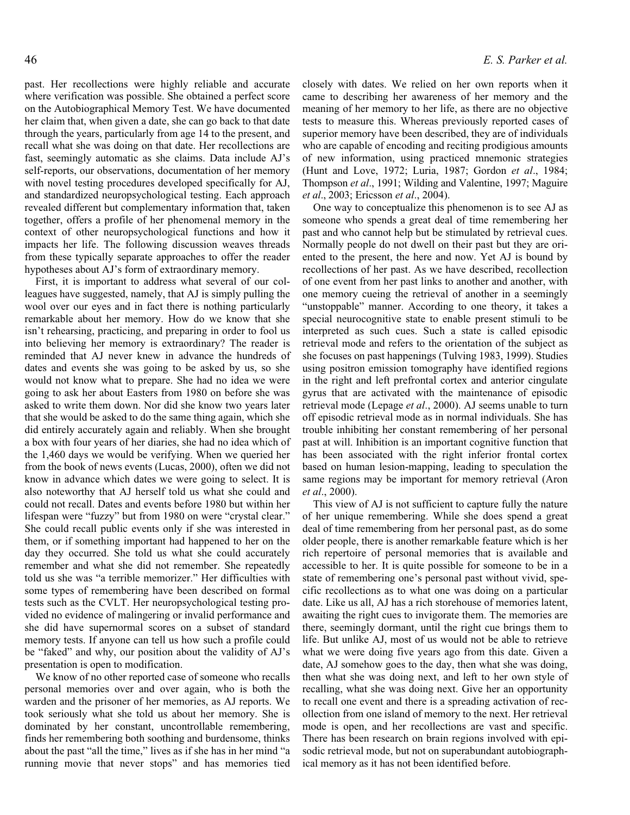past. Her recollections were highly reliable and accurate where verification was possible. She obtained a perfect score on the Autobiographical Memory Test. We have documented her claim that, when given a date, she can go back to that date through the years, particularly from age 14 to the present, and recall what she was doing on that date. Her recollections are fast, seemingly automatic as she claims. Data include AJ's self-reports, our observations, documentation of her memory with novel testing procedures developed specifically for AJ, and standardized neuropsychological testing. Each approach revealed different but complementary information that, taken together, offers a profile of her phenomenal memory in the context of other neuropsychological functions and how it impacts her life. The following discussion weaves threads from these typically separate approaches to offer the reader hypotheses about AJ's form of extraordinary memory.

First, it is important to address what several of our colleagues have suggested, namely, that AJ is simply pulling the wool over our eyes and in fact there is nothing particularly remarkable about her memory. How do we know that she isn't rehearsing, practicing, and preparing in order to fool us into believing her memory is extraordinary? The reader is reminded that AJ never knew in advance the hundreds of dates and events she was going to be asked by us, so she would not know what to prepare. She had no idea we were going to ask her about Easters from 1980 on before she was asked to write them down. Nor did she know two years later that she would be asked to do the same thing again, which she did entirely accurately again and reliably. When she brought a box with four years of her diaries, she had no idea which of the 1,460 days we would be verifying. When we queried her from the book of news events (Lucas, 2000), often we did not know in advance which dates we were going to select. It is also noteworthy that AJ herself told us what she could and could not recall. Dates and events before 1980 but within her lifespan were "fuzzy" but from 1980 on were "crystal clear." She could recall public events only if she was interested in them, or if something important had happened to her on the day they occurred. She told us what she could accurately remember and what she did not remember. She repeatedly told us she was "a terrible memorizer." Her difficulties with some types of remembering have been described on formal tests such as the CVLT. Her neuropsychological testing provided no evidence of malingering or invalid performance and she did have supernormal scores on a subset of standard memory tests. If anyone can tell us how such a profile could be "faked" and why, our position about the validity of AJ's presentation is open to modification.

We know of no other reported case of someone who recalls personal memories over and over again, who is both the warden and the prisoner of her memories, as AJ reports. We took seriously what she told us about her memory. She is dominated by her constant, uncontrollable remembering, finds her remembering both soothing and burdensome, thinks about the past "all the time," lives as if she has in her mind "a running movie that never stops" and has memories tied

closely with dates. We relied on her own reports when it came to describing her awareness of her memory and the meaning of her memory to her life, as there are no objective tests to measure this. Whereas previously reported cases of superior memory have been described, they are of individuals who are capable of encoding and reciting prodigious amounts of new information, using practiced mnemonic strategies (Hunt and Love, 1972; Luria, 1987; Gordon *et al*., 1984; Thompson *et al*., 1991; Wilding and Valentine, 1997; Maguire *et al*., 2003; Ericsson *et al*., 2004).

One way to conceptualize this phenomenon is to see AJ as someone who spends a great deal of time remembering her past and who cannot help but be stimulated by retrieval cues. Normally people do not dwell on their past but they are oriented to the present, the here and now. Yet AJ is bound by recollections of her past. As we have described, recollection of one event from her past links to another and another, with one memory cueing the retrieval of another in a seemingly "unstoppable" manner. According to one theory, it takes a special neurocognitive state to enable present stimuli to be interpreted as such cues. Such a state is called episodic retrieval mode and refers to the orientation of the subject as she focuses on past happenings (Tulving 1983, 1999). Studies using positron emission tomography have identified regions in the right and left prefrontal cortex and anterior cingulate gyrus that are activated with the maintenance of episodic retrieval mode (Lepage *et al*., 2000). AJ seems unable to turn off episodic retrieval mode as in normal individuals. She has trouble inhibiting her constant remembering of her personal past at will. Inhibition is an important cognitive function that has been associated with the right inferior frontal cortex based on human lesion-mapping, leading to speculation the same regions may be important for memory retrieval (Aron *et al*., 2000).

This view of AJ is not sufficient to capture fully the nature of her unique remembering. While she does spend a great deal of time remembering from her personal past, as do some older people, there is another remarkable feature which is her rich repertoire of personal memories that is available and accessible to her. It is quite possible for someone to be in a state of remembering one's personal past without vivid, specific recollections as to what one was doing on a particular date. Like us all, AJ has a rich storehouse of memories latent, awaiting the right cues to invigorate them. The memories are there, seemingly dormant, until the right cue brings them to life. But unlike AJ, most of us would not be able to retrieve what we were doing five years ago from this date. Given a date, AJ somehow goes to the day, then what she was doing, then what she was doing next, and left to her own style of recalling, what she was doing next. Give her an opportunity to recall one event and there is a spreading activation of recollection from one island of memory to the next. Her retrieval mode is open, and her recollections are vast and specific. There has been research on brain regions involved with episodic retrieval mode, but not on superabundant autobiographical memory as it has not been identified before.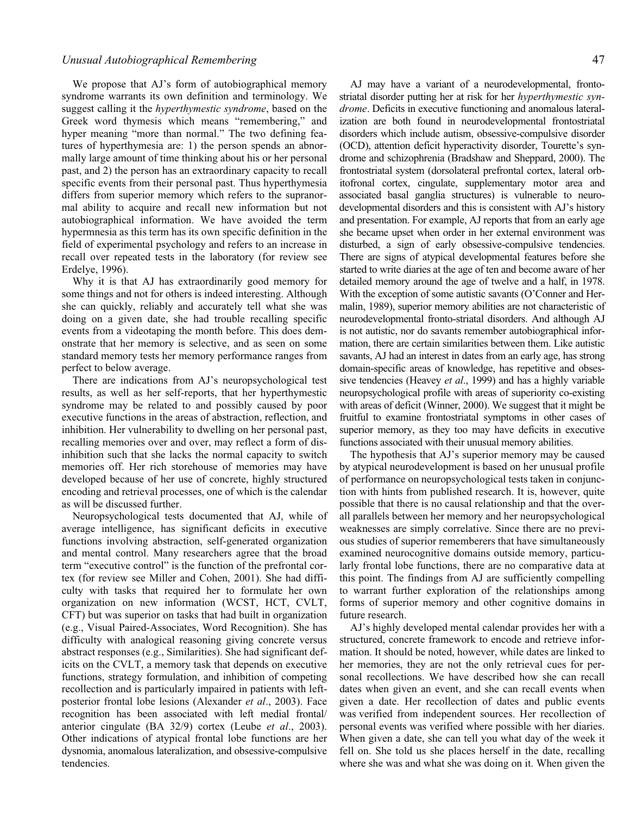We propose that AJ's form of autobiographical memory syndrome warrants its own definition and terminology. We suggest calling it the *hyperthymestic syndrome*, based on the Greek word thymesis which means "remembering," and hyper meaning "more than normal." The two defining features of hyperthymesia are: 1) the person spends an abnormally large amount of time thinking about his or her personal past, and 2) the person has an extraordinary capacity to recall specific events from their personal past. Thus hyperthymesia differs from superior memory which refers to the supranormal ability to acquire and recall new information but not autobiographical information. We have avoided the term hypermnesia as this term has its own specific definition in the field of experimental psychology and refers to an increase in recall over repeated tests in the laboratory (for review see Erdelye, 1996).

Why it is that AJ has extraordinarily good memory for some things and not for others is indeed interesting. Although she can quickly, reliably and accurately tell what she was doing on a given date, she had trouble recalling specific events from a videotaping the month before. This does demonstrate that her memory is selective, and as seen on some standard memory tests her memory performance ranges from perfect to below average.

There are indications from AJ's neuropsychological test results, as well as her self-reports, that her hyperthymestic syndrome may be related to and possibly caused by poor executive functions in the areas of abstraction, reflection, and inhibition. Her vulnerability to dwelling on her personal past, recalling memories over and over, may reflect a form of disinhibition such that she lacks the normal capacity to switch memories off. Her rich storehouse of memories may have developed because of her use of concrete, highly structured encoding and retrieval processes, one of which is the calendar as will be discussed further.

Neuropsychological tests documented that AJ, while of average intelligence, has significant deficits in executive functions involving abstraction, self-generated organization and mental control. Many researchers agree that the broad term "executive control" is the function of the prefrontal cortex (for review see Miller and Cohen, 2001). She had difficulty with tasks that required her to formulate her own organization on new information (WCST, HCT, CVLT, CFT) but was superior on tasks that had built in organization (e.g., Visual Paired-Associates, Word Recognition). She has difficulty with analogical reasoning giving concrete versus abstract responses (e.g., Similarities). She had significant deficits on the CVLT, a memory task that depends on executive functions, strategy formulation, and inhibition of competing recollection and is particularly impaired in patients with leftposterior frontal lobe lesions (Alexander *et al*., 2003). Face recognition has been associated with left medial frontal/ anterior cingulate (BA 32/9) cortex (Leube *et al*., 2003). Other indications of atypical frontal lobe functions are her dysnomia, anomalous lateralization, and obsessive-compulsive tendencies.

AJ may have a variant of a neurodevelopmental, frontostriatal disorder putting her at risk for her *hyperthymestic syndrome*. Deficits in executive functioning and anomalous lateralization are both found in neurodevelopmental frontostriatal disorders which include autism, obsessive-compulsive disorder (OCD), attention deficit hyperactivity disorder, Tourette's syndrome and schizophrenia (Bradshaw and Sheppard, 2000). The frontostriatal system (dorsolateral prefrontal cortex, lateral orbitofronal cortex, cingulate, supplementary motor area and associated basal ganglia structures) is vulnerable to neurodevelopmental disorders and this is consistent with AJ's history and presentation. For example, AJ reports that from an early age she became upset when order in her external environment was disturbed, a sign of early obsessive-compulsive tendencies. There are signs of atypical developmental features before she started to write diaries at the age of ten and become aware of her detailed memory around the age of twelve and a half, in 1978. With the exception of some autistic savants (O'Conner and Hermalin, 1989), superior memory abilities are not characteristic of neurodevelopmental fronto-striatal disorders. And although AJ is not autistic, nor do savants remember autobiographical information, there are certain similarities between them. Like autistic savants, AJ had an interest in dates from an early age, has strong domain-specific areas of knowledge, has repetitive and obsessive tendencies (Heavey *et al*., 1999) and has a highly variable neuropsychological profile with areas of superiority co-existing with areas of deficit (Winner, 2000). We suggest that it might be fruitful to examine frontostriatal symptoms in other cases of superior memory, as they too may have deficits in executive functions associated with their unusual memory abilities.

The hypothesis that AJ's superior memory may be caused by atypical neurodevelopment is based on her unusual profile of performance on neuropsychological tests taken in conjunction with hints from published research. It is, however, quite possible that there is no causal relationship and that the overall parallels between her memory and her neuropsychological weaknesses are simply correlative. Since there are no previous studies of superior rememberers that have simultaneously examined neurocognitive domains outside memory, particularly frontal lobe functions, there are no comparative data at this point. The findings from AJ are sufficiently compelling to warrant further exploration of the relationships among forms of superior memory and other cognitive domains in future research.

AJ's highly developed mental calendar provides her with a structured, concrete framework to encode and retrieve information. It should be noted, however, while dates are linked to her memories, they are not the only retrieval cues for personal recollections. We have described how she can recall dates when given an event, and she can recall events when given a date. Her recollection of dates and public events was verified from independent sources. Her recollection of personal events was verified where possible with her diaries. When given a date, she can tell you what day of the week it fell on. She told us she places herself in the date, recalling where she was and what she was doing on it. When given the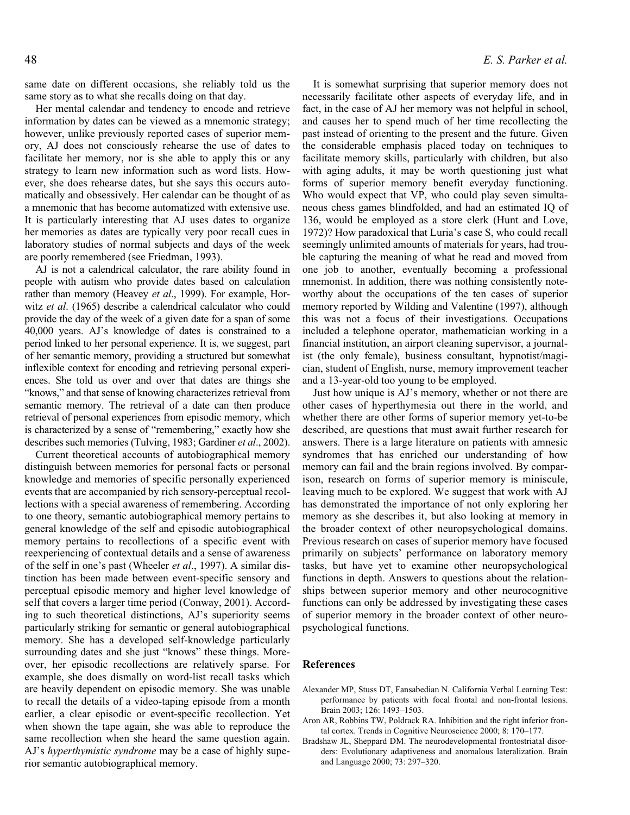same date on different occasions, she reliably told us the same story as to what she recalls doing on that day.

Her mental calendar and tendency to encode and retrieve information by dates can be viewed as a mnemonic strategy; however, unlike previously reported cases of superior memory, AJ does not consciously rehearse the use of dates to facilitate her memory, nor is she able to apply this or any strategy to learn new information such as word lists. However, she does rehearse dates, but she says this occurs automatically and obsessively. Her calendar can be thought of as a mnemonic that has become automatized with extensive use. It is particularly interesting that AJ uses dates to organize her memories as dates are typically very poor recall cues in laboratory studies of normal subjects and days of the week are poorly remembered (see Friedman, 1993).

AJ is not a calendrical calculator, the rare ability found in people with autism who provide dates based on calculation rather than memory (Heavey *et al*., 1999). For example, Horwitz *et al*. (1965) describe a calendrical calculator who could provide the day of the week of a given date for a span of some 40,000 years. AJ's knowledge of dates is constrained to a period linked to her personal experience. It is, we suggest, part of her semantic memory, providing a structured but somewhat inflexible context for encoding and retrieving personal experiences. She told us over and over that dates are things she "knows," and that sense of knowing characterizes retrieval from semantic memory. The retrieval of a date can then produce retrieval of personal experiences from episodic memory, which is characterized by a sense of "remembering," exactly how she describes such memories (Tulving, 1983; Gardiner *et al*., 2002).

Current theoretical accounts of autobiographical memory distinguish between memories for personal facts or personal knowledge and memories of specific personally experienced events that are accompanied by rich sensory-perceptual recollections with a special awareness of remembering. According to one theory, semantic autobiographical memory pertains to general knowledge of the self and episodic autobiographical memory pertains to recollections of a specific event with reexperiencing of contextual details and a sense of awareness of the self in one's past (Wheeler *et al*., 1997). A similar distinction has been made between event-specific sensory and perceptual episodic memory and higher level knowledge of self that covers a larger time period (Conway, 2001). According to such theoretical distinctions, AJ's superiority seems particularly striking for semantic or general autobiographical memory. She has a developed self-knowledge particularly surrounding dates and she just "knows" these things. Moreover, her episodic recollections are relatively sparse. For example, she does dismally on word-list recall tasks which are heavily dependent on episodic memory. She was unable to recall the details of a video-taping episode from a month earlier, a clear episodic or event-specific recollection. Yet when shown the tape again, she was able to reproduce the same recollection when she heard the same question again. AJ's *hyperthymistic syndrome* may be a case of highly superior semantic autobiographical memory.

It is somewhat surprising that superior memory does not necessarily facilitate other aspects of everyday life, and in fact, in the case of AJ her memory was not helpful in school, and causes her to spend much of her time recollecting the past instead of orienting to the present and the future. Given the considerable emphasis placed today on techniques to facilitate memory skills, particularly with children, but also with aging adults, it may be worth questioning just what forms of superior memory benefit everyday functioning. Who would expect that VP, who could play seven simultaneous chess games blindfolded, and had an estimated IQ of 136, would be employed as a store clerk (Hunt and Love, 1972)? How paradoxical that Luria's case S, who could recall seemingly unlimited amounts of materials for years, had trouble capturing the meaning of what he read and moved from one job to another, eventually becoming a professional mnemonist. In addition, there was nothing consistently noteworthy about the occupations of the ten cases of superior memory reported by Wilding and Valentine (1997), although this was not a focus of their investigations. Occupations included a telephone operator, mathematician working in a financial institution, an airport cleaning supervisor, a journalist (the only female), business consultant, hypnotist/magician, student of English, nurse, memory improvement teacher and a 13-year-old too young to be employed.

Just how unique is AJ's memory, whether or not there are other cases of hyperthymesia out there in the world, and whether there are other forms of superior memory yet-to-be described, are questions that must await further research for answers. There is a large literature on patients with amnesic syndromes that has enriched our understanding of how memory can fail and the brain regions involved. By comparison, research on forms of superior memory is miniscule, leaving much to be explored. We suggest that work with AJ has demonstrated the importance of not only exploring her memory as she describes it, but also looking at memory in the broader context of other neuropsychological domains. Previous research on cases of superior memory have focused primarily on subjects' performance on laboratory memory tasks, but have yet to examine other neuropsychological functions in depth. Answers to questions about the relationships between superior memory and other neurocognitive functions can only be addressed by investigating these cases of superior memory in the broader context of other neuropsychological functions.

### **References**

- Alexander MP, Stuss DT, Fansabedian N. California Verbal Learning Test: performance by patients with focal frontal and non-frontal lesions. Brain 2003; 126: 1493–1503.
- Aron AR, Robbins TW, Poldrack RA. Inhibition and the right inferior frontal cortex. Trends in Cognitive Neuroscience 2000; 8: 170–177.
- Bradshaw JL, Sheppard DM. The neurodevelopmental frontostriatal disorders: Evolutionary adaptiveness and anomalous lateralization. Brain and Language 2000; 73: 297–320.